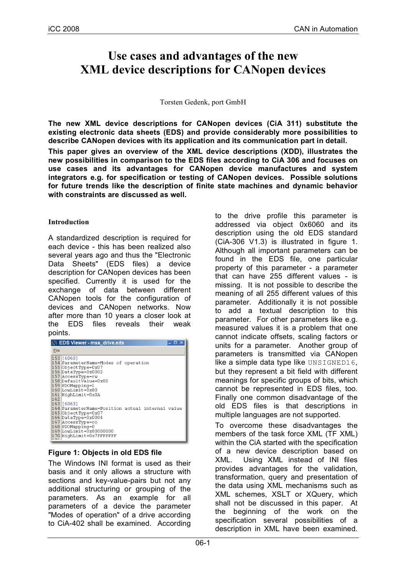# **Use cases and advantages of the new XML device descriptions for CANopen devices**

#### Torsten Gedenk, port GmbH

**The new XML device descriptions for CANopen devices (CiA 311) substitute the existing electronic data sheets (EDS) and provide considerably more possibilities to describe CANopen devices with its application and its communication part in detail.**

**This paper gives an overview of the XML device descriptions (XDD), illustrates the new possibilities in comparison to the EDS files according to CiA 306 and focuses on use cases and its advantages for CANopen device manufactures and system integrators e.g. for specification or testing of CANopen devices. Possible solutions for future trends like the description of finite state machines and dynamic behavior with constraints are discussed as well.**

## **Introduction**

A standardized description is required for each device - this has been realized also several years ago and thus the "Electronic Data Sheets" (EDS files) a device description for CANopen devices has been specified. Currently it is used for the exchange of data between different CANopen tools for the configuration of devices and CANopen networks. Now after more than 10 years a closer look at the EDS files reveals their weak points.

| X EDS Viewer - msa_drive.eds                                                        |                                                                                                                                                                                                                                                                                                                                                           |  |  |  |  |  |  |
|-------------------------------------------------------------------------------------|-----------------------------------------------------------------------------------------------------------------------------------------------------------------------------------------------------------------------------------------------------------------------------------------------------------------------------------------------------------|--|--|--|--|--|--|
| File                                                                                |                                                                                                                                                                                                                                                                                                                                                           |  |  |  |  |  |  |
| $153$ [6060]<br>159 PDOMapping=1<br>162<br>163   160631<br>168 PDOMapping=0<br>4.73 | 154 ParameterName=Modes of operation<br>155 ObjectType=0x07<br>156 DataType=0x0002<br>157 AccessType=rw<br>158 DefaultValue=0x00<br>160 LowLimit=0x80<br>161 HighLimit=0x0A<br>164 ParameterName=Position actual internal value<br>165 ObjectType=0x07<br>166 DataType=0x0004<br>167 AccessType=ro<br>169 LowLimit=0x80000000<br>170 HighLimit=0x7FFFFFFF |  |  |  |  |  |  |

## **Figure 1: Objects in old EDS file**

The Windows INI format is used as their basis and it only allows a structure with sections and key-value-pairs but not any additional structuring or grouping of the parameters. As an example for all parameters of a device the parameter "Modes of operation" of a drive according to CiA-402 shall be examined. According to the drive profile this parameter is addressed via object 0x6060 and its description using the old EDS standard (CiA-306 V1.3) is illustrated in figure 1. Although all important parameters can be found in the EDS file, one particular property of this parameter - a parameter that can have 255 different values - is missing. It is not possible to describe the meaning of all 255 different values of this parameter. Additionally it is not possible to add a textual description to this parameter. For other parameters like e.g. measured values it is a problem that one cannot indicate offsets, scaling factors or units for a parameter. Another group of parameters is transmitted via CANopen like a simple data type like UNSIGNED16, but they represent a bit field with different meanings for specific groups of bits, which cannot be represented in EDS files, too. Finally one common disadvantage of the old EDS files is that descriptions in multiple languages are not supported.

To overcome these disadvantages the members of the task force XML (TF XML) within the CiA started with the specification of a new device description based on XML. Using XML instead of INI files provides advantages for the validation, transformation, query and presentation of the data using XML mechanisms such as XML schemes, XSLT or XQuery, which shall not be discussed in this paper. At the beginning of the work on the specification several possibilities of a description in XML have been examined.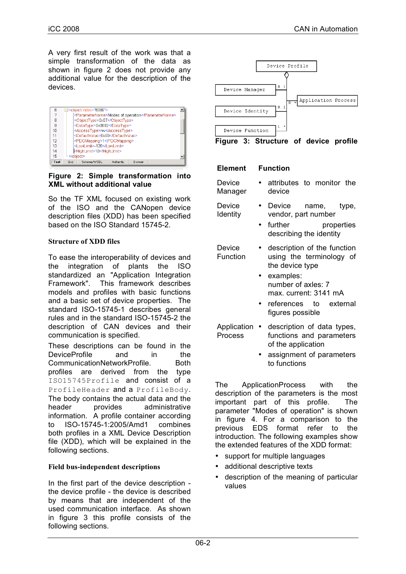A very first result of the work was that a simple transformation of the data as shown in figure 2 does not provide any additional value for the description of the devices.

| ჩ              | ⊟ <object index="6060"></object>                   |  |  |  |  |  |
|----------------|----------------------------------------------------|--|--|--|--|--|
|                | <parametername>Modes of operation</parametername>  |  |  |  |  |  |
| 8              | <objecttype>0x07</objecttype>                      |  |  |  |  |  |
| я              | <datatype>0x0002</datatype>                        |  |  |  |  |  |
| 1 <sub>0</sub> | <accesstype>rw</accesstype>                        |  |  |  |  |  |
| 11             | <defaultvalue>0x00</defaultvalue>                  |  |  |  |  |  |
| 12             | <pdomapping>1</pdomapping>                         |  |  |  |  |  |
| 13             | <lowlimit>-128</lowlimit>                          |  |  |  |  |  |
| 14             | <highlimit>10</highlimit>                          |  |  |  |  |  |
| 15<br>         |                                                    |  |  |  |  |  |
| Text           | Grid<br>Schema/WSDL<br>Authentic<br><b>Browser</b> |  |  |  |  |  |

**Figure 2: Simple transformation into XML without additional value**

So the TF XML focused on existing work of the ISO and the CANopen device description files (XDD) has been specified based on the ISO Standard 15745-2.

## **Structure of XDD files**

To ease the interoperability of devices and the integration of plants the ISO standardized an "Application Integration Framework". This framework describes models and profiles with basic functions and a basic set of device properties. The standard ISO-15745-1 describes general rules and in the standard ISO-15745-2 the description of CAN devices and their communication is specified.

These descriptions can be found in the DeviceProfile and in the CommunicationNetworkProfile. Both profiles are derived from the type ISO15745Profile and consist of a ProfileHeader and a ProfileBody. The body contains the actual data and the header provides administrative information. A profile container according to ISO-15745-1:2005/Amd1 combines both profiles in a XML Device Description file (XDD), which will be explained in the following sections.

## **Field bus-independent descriptions**

In the first part of the device description the device profile - the device is described by means that are independent of the used communication interface. As shown in figure 3 this profile consists of the following sections.





## **Element Function**

| <b>Device</b><br>Manager | • attributes to monitor the<br>device |  |  |
|--------------------------|---------------------------------------|--|--|
|                          |                                       |  |  |

- Device Identity Device name, type, vendor, part number
	- further properties describing the identity

Device Function • description of the function using the terminology of the device type

- examples: number of axles: 7 max. current: 3141 mA
- references to external figures possible
- Application description of data types, Process functions and parameters of the application
	- assignment of parameters to functions

The ApplicationProcess with the description of the parameters is the most important part of this profile. The parameter "Modes of operation" is shown in figure 4. For a comparison to the previous EDS format refer to the introduction. The following examples show the extended features of the XDD format:

- support for multiple languages
- additional descriptive texts
- description of the meaning of particular values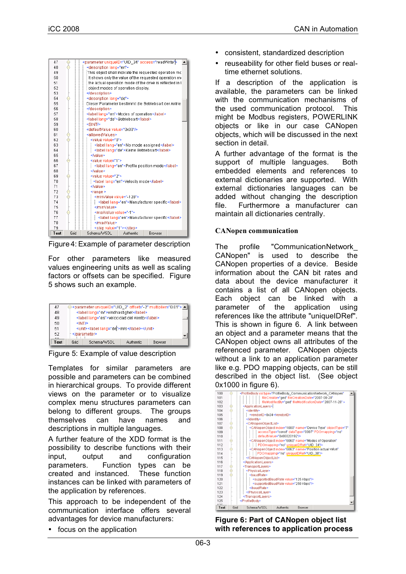| 47   |      | <parameter access="readWrite" uniqueid="UID_34"></parameter> |                                             |         |  |  |  |  |
|------|------|--------------------------------------------------------------|---------------------------------------------|---------|--|--|--|--|
| 48   |      | <description lang="en"></description>                        |                                             |         |  |  |  |  |
| 49   |      | This object shall indicate the requested operation mc        |                                             |         |  |  |  |  |
| 50   |      | It shows only the value of the requested operation mi        |                                             |         |  |  |  |  |
| 51   |      | the actual operation mode of the drive is reflected in t     |                                             |         |  |  |  |  |
| 52   |      | object modes of operation display.                           |                                             |         |  |  |  |  |
| 53   |      |                                                              |                                             |         |  |  |  |  |
| 54   |      |                                                              | <description lang="de"></description>       |         |  |  |  |  |
| 55   |      | Dieser Parameter bestimmt die Betriebsart der Antrie         |                                             |         |  |  |  |  |
| 56   |      |                                                              |                                             |         |  |  |  |  |
| 57   |      |                                                              | <label lang="en">Modes of operation</label> |         |  |  |  |  |
| 58   |      | <label lang="de">Betriebsart</label>                         |                                             |         |  |  |  |  |
| 59   |      | <sint></sint>                                                |                                             |         |  |  |  |  |
| 60   |      | <defaultvalue value="0x00"></defaultvalue>                   |                                             |         |  |  |  |  |
| 61   |      | <allowedvalues></allowedvalues>                              |                                             |         |  |  |  |  |
| 62   |      | <value value="0"></value>                                    |                                             |         |  |  |  |  |
| 63   |      |                                                              | <label lang="en">No mode assigned</label>   |         |  |  |  |  |
| 64   |      | <label lang="de">Keine Betriebsart</label>                   |                                             |         |  |  |  |  |
| 65   |      |                                                              |                                             |         |  |  |  |  |
| 66   |      | <value value="1"></value>                                    |                                             |         |  |  |  |  |
| 67   |      | <label lang="en">Profile position mode</label>               |                                             |         |  |  |  |  |
| 68   |      |                                                              |                                             |         |  |  |  |  |
| 69   |      | <value value="2"></value>                                    |                                             |         |  |  |  |  |
| 70   |      | <label lang="en">Velocity mode</label>                       |                                             |         |  |  |  |  |
| 71   |      |                                                              |                                             |         |  |  |  |  |
| 72   |      | <range></range>                                              |                                             |         |  |  |  |  |
| 73   |      | <minvalue value="-128"></minvalue>                           |                                             |         |  |  |  |  |
| 74   |      | <label lang="en">Manufacturer specific</label>               |                                             |         |  |  |  |  |
| 75   |      |                                                              |                                             |         |  |  |  |  |
| 76   |      |                                                              | <maxvalue value="-1"></maxvalue>            |         |  |  |  |  |
| 77   |      | <label lang="en">Manufacturer specific</label>               |                                             |         |  |  |  |  |
| 78   |      |                                                              |                                             |         |  |  |  |  |
| 79   |      | <step value="1"></step>                                      |                                             |         |  |  |  |  |
| Text | Grid | Schema/WSDL                                                  | Authentic                                   | Browser |  |  |  |  |

Figure 4: Example of parameter description

For other parameters like measured values engineering units as well as scaling factors or offsets can be specified. Figure 5 shows such an example.



Figure 5: Example of value description

Templates for similar parameters are possible and parameters can be combined in hierarchical groups. To provide different views on the parameter or to visualize complex menu structures parameters can belong to different groups. The groups themselves can have names and descriptions in multiple languages.

A further feature of the XDD format is the possibility to describe functions with their input, output and configuration parameters. Function types can be created and instanced. These function instances can be linked with parameters of the application by references.

This approach to be independent of the communication interface offers several advantages for device manufacturers:

• focus on the application

- consistent, standardized description
- reuseability for other field buses or realtime ethernet solutions.

If a description of the application is available, the parameters can be linked with the communication mechanisms of the used communication protocol. This might be Modbus registers, POWERLINK objects or like in our case CANopen objects, which will be discussed in the next section in detail.

A further advantage of the format is the support of multiple languages. Both embedded elements and references to external dictionaries are supported. With external dictionaries languages can be added without changing the description file. Furthermore a manufacturer can maintain all dictionaries centrally.

## **CANopen communication**

The profile "CommunicationNetwork\_ CANopen" is used to describe the CANopen properties of a device. Beside information about the CAN bit rates and data about the device manufacturer it contains a list of all CANopen objects. Each object can be linked with a parameter of the application using references like the attribute "uniqueIDRef". This is shown in figure 6. A link between an object and a parameter means that the CANopen object owns all attributes of the referenced parameter. CANopen objects without a link to an application parameter like e.g. PDO mapping objects, can be still described in the object list. (See object 0x1000 in figure 6).



**Figure 6: Part of CANopen object list with references to application process**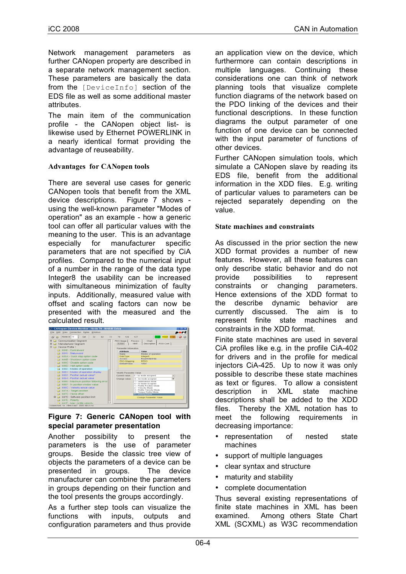Network management parameters as further CANopen property are described in a separate network management section. These parameters are basically the data from the [DeviceInfo] section of the EDS file as well as some additional master attributes.

The main item of the communication profile - the CANopen object list- is likewise used by Ethernet POWERLINK in a nearly identical format providing the advantage of reuseability.

## **Advantages for CANopen tools**

There are several use cases for generic CANopen tools that benefit from the XML device descriptions. Figure 7 shows using the well-known parameter "Modes of operation" as an example - how a generic tool can offer all particular values with the meaning to the user. This is an advantage especially for manufacturer specific parameters that are not specified by CiA profiles. Compared to the numerical input of a number in the range of the data type Integer8 the usability can be increased with simultaneous minimization of faulty inputs. Additionally, measured value with offset and scaling factors can now be presented with the measured and the Calculated result.<br>Ex canopen Device Monitor - Node 79 - BNE/E <u>Drive</u>



## **Figure 7: Generic CANopen tool with special parameter presentation**

Another possibility to present the parameters is the use of parameter groups. Beside the classic tree view of objects the parameters of a device can be presented in groups. The device manufacturer can combine the parameters in groups depending on their function and the tool presents the groups accordingly.

As a further step tools can visualize the functions with inputs, outputs and configuration parameters and thus provide an application view on the device, which furthermore can contain descriptions in multiple languages. Continuing these considerations one can think of network planning tools that visualize complete function diagrams of the network based on the PDO linking of the devices and their functional descriptions. In these function diagrams the output parameter of one function of one device can be connected with the input parameter of functions of other devices.

Further CANopen simulation tools, which simulate a CANopen slave by reading its EDS file, benefit from the additional information in the XDD files. E.g. writing of particular values to parameters can be rejected separately depending on the value.

## **State machines and constraints**

As discussed in the prior section the new XDD format provides a number of new features. However, all these features can only describe static behavior and do not provide possibilities to represent constraints or changing parameters. Hence extensions of the XDD format to the describe dynamic behavior are currently discussed. The aim is to represent finite state machines and constraints in the XDD format.

Finite state machines are used in several CiA profiles like e.g. in the profile CiA-402 for drivers and in the profile for medical injectors CiA-425. Up to now it was only possible to describe these state machines as text or figures. To allow a consistent description in XML state machine descriptions shall be added to the XDD files. Thereby the XML notation has to meet the following requirements in decreasing importance:

- representation of nested state machines
- support of multiple languages
- clear syntax and structure
- maturity and stability
- complete documentation

Thus several existing representations of finite state machines in XML has been examined. Among others State Chart XML (SCXML) as W3C recommendation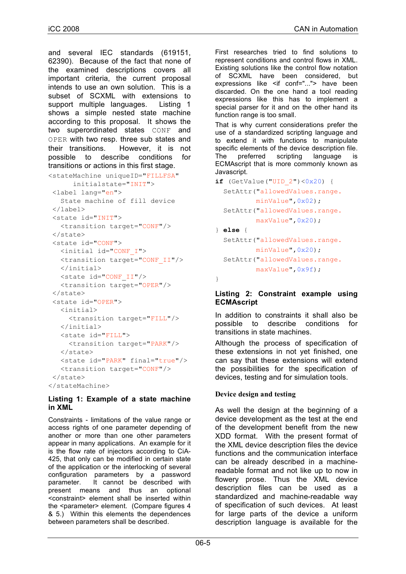and several IEC standards (619151, 62390). Because of the fact that none of the examined descriptions covers all important criteria, the current proposal intends to use an own solution. This is a subset of SCXML with extensions to support multiple languages. Listing 1 shows a simple nested state machine according to this proposal. It shows the two superordinated states CONF and OPER with two resp. three sub states and their transitions. However, it is not possible to describe conditions for transitions or actions in this first stage.

```
<stateMachine uniqueID="FILLFSA"
      initialstate="INIT">
 <label lang="en">
   State machine of fill device
</label>
 <state id="INIT">
   <transition target="CONF"/>
 </state>
 <state id="CONF">
   <initial id="CONF_I">
   <transition target="CONF_II"/>
   </initial>
   <state id="CONF_II"/>
   <transition target="OPER"/>
 </state>
 <state id="OPER">
   <initial>
     <transition target="FILL"/>
   </initial>
   <state id="FILL">
    <transition target="PARK"/>
   </state>
   <state id="PARK" final="true"/>
   <transition target="CONF"/>
 \langle/state>
</stateMachine>
```
## **Listing 1: Example of a state machine in XML**

Constraints - limitations of the value range or access rights of one parameter depending of another or more than one other parameters appear in many applications. An example for it is the flow rate of injectors according to CiA-425, that only can be modified in certain state of the application or the interlocking of several configuration parameters by a password parameter. It cannot be described with present means and thus an optional <constraint> element shall be inserted within the <parameter> element. (Compare figures 4 & 5.) Within this elements the dependences between parameters shall be described.

First researches tried to find solutions to represent conditions and control flows in XML. Existing solutions like the control flow notation of SCXML have been considered, but expressions like <if conf="..."> have been discarded. On the one hand a tool reading expressions like this has to implement a special parser for it and on the other hand its function range is too small.

That is why current considerations prefer the use of a standardized scripting language and to extend it with functions to manipulate specific elements of the device description file. The preferred scripting language is ECMAscript that is more commonly known as Javascript.

```
if (GetValue("UID 2") <0x20) {
  SetAttr("allowedValues.range.
          minValue",0x02);
  SetAttr("allowedValues.range.
          maxValue",0x20);
} else {
```

```
SetAttr("allowedValues.range.
        minValue",0x20);
SetAttr("allowedValues.range.
        maxValue",0x9f);
```
}

## **Listing 2: Constraint example using ECMAscript**

In addition to constraints it shall also be possible to describe conditions for transitions in state machines.

Although the process of specification of these extensions in not yet finished, one can say that these extensions will extend the possibilities for the specification of devices, testing and for simulation tools.

## **Device design and testing**

As well the design at the beginning of a device development as the test at the end of the development benefit from the new XDD format. With the present format of the XML device description files the device functions and the communication interface can be already described in a machinereadable format and not like up to now in flowery prose. Thus the XML device description files can be used as a standardized and machine-readable way of specification of such devices. At least for large parts of the device a uniform description language is available for the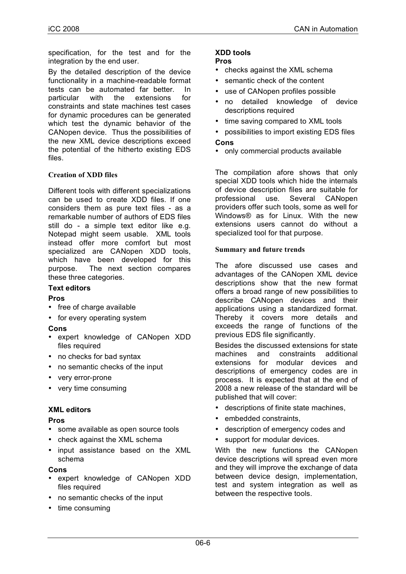specification, for the test and for the integration by the end user.

By the detailed description of the device functionality in a machine-readable format tests can be automated far better. In particular with the extensions for constraints and state machines test cases for dynamic procedures can be generated which test the dynamic behavior of the CANopen device. Thus the possibilities of the new XML device descriptions exceed the potential of the hitherto existing EDS files.

## **Creation of XDD files**

Different tools with different specializations can be used to create XDD files. If one considers them as pure text files - as a remarkable number of authors of EDS files still do - a simple text editor like e.g. Notepad might seem usable. XML tools instead offer more comfort but most specialized are CANopen XDD tools, which have been developed for this purpose. The next section compares these three categories.

## **Text editors**

## **Pros**

- free of charge available
- for every operating system

## **Cons**

- expert knowledge of CANopen XDD files required
- no checks for bad syntax
- no semantic checks of the input
- very error-prone
- very time consuming

## **XML editors**

## **Pros**

- some available as open source tools
- check against the XML schema
- input assistance based on the XML schema

## **Cons**

- expert knowledge of CANopen XDD files required
- no semantic checks of the input
- time consuming

#### **XDD tools Pros**

- checks against the XML schema
- semantic check of the content
- use of CANopen profiles possible
- no detailed knowledge of device descriptions required
- time saving compared to XML tools
- possibilities to import existing EDS files **Cons**
- only commercial products available

The compilation afore shows that only special XDD tools which hide the internals of device description files are suitable for professional use. Several CANopen providers offer such tools, some as well for Windows® as for Linux. With the new extensions users cannot do without a specialized tool for that purpose.

#### **Summary and future trends**

The afore discussed use cases and advantages of the CANopen XML device descriptions show that the new format offers a broad range of new possibilities to describe CANopen devices and their applications using a standardized format. Thereby it covers more details and exceeds the range of functions of the previous EDS file significantly.

Besides the discussed extensions for state machines and constraints additional extensions for modular devices and descriptions of emergency codes are in process. It is expected that at the end of 2008 a new release of the standard will be published that will cover:

- descriptions of finite state machines,
- embedded constraints,
- description of emergency codes and
- support for modular devices.

With the new functions the CANopen device descriptions will spread even more and they will improve the exchange of data between device design, implementation, test and system integration as well as between the respective tools.